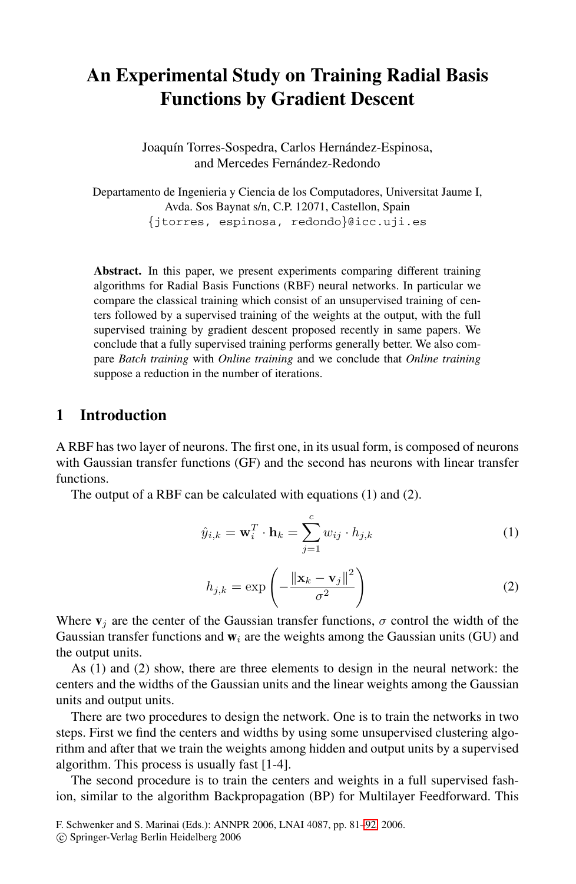# **An Experimental Study on Training Radial Basis Functions by Gradient Descent**

Joaquín Torres-Sospedra, Carlos Hernández-Espinosa, and Mercedes Fernández-Redondo

Departamento de Ingenieria y Ciencia de los Computadores, Universitat Jaume I, Avda. Sos Baynat s/n, C.P. 12071, Castellon, Spain {jtorres, espinosa, redondo}@icc.uji.es

**Abstract.** In this paper, we present experiments comparing different training algorithms for Radial Basis Functions (RBF) neural networks. In particular we compare the classical training which consist of an unsupervised training of centers followed by a supervised training of the weights at the output, with the full supervised training by gradient descent proposed recently in same papers. We conclude that a fully supervised training performs generally better. We also compare *Batch training* with *Online training* and we conclude that *Online training* suppose a reduction in the number of iterations.

# **1 Introduction**

A RBF has two layer of neurons. The first one, in its usual form, is composed of neurons with Gaussian transfer functions (GF) and the second has neurons with linear transfer functions.

The output of a RBF can be calculated with equations (1) and (2).

$$
\hat{y}_{i,k} = \mathbf{w}_i^T \cdot \mathbf{h}_k = \sum_{j=1}^c w_{ij} \cdot h_{j,k}
$$
 (1)

$$
h_{j,k} = \exp\left(-\frac{\|\mathbf{x}_k - \mathbf{v}_j\|^2}{\sigma^2}\right)
$$
 (2)

Where  $\mathbf{v}_i$  are the center of the Gaussian transfer functions,  $\sigma$  control the width of the Gaussian transfer functions and **w***<sup>i</sup>* are the weights among the Gaussian units (GU) and the output units.

As (1) and (2) show, there are three elements to design in the neural network: the centers and the widths of the Gaussian units and the linear weights among the Gaussian units and output units.

There are two procedures to design the network. One is to train the networks in two steps. First we find the centers and widths by using some unsupervised clustering algorithm and after that we train the weights among hidden and output units by a supervised algorithm. This process is usually fast [1-4].

The second procedure is to train the centers and weights in a full supervised fashion, similar to the algorithm Backpropagation (BP) for Multilayer Feedforward. This

F. Schwenker and S. Marinai (Eds.): ANNPR 2006, LNAI 4087, pp. 81–92, 2006.

<sup>-</sup>c Springer-Verlag Berlin Heidelberg 2006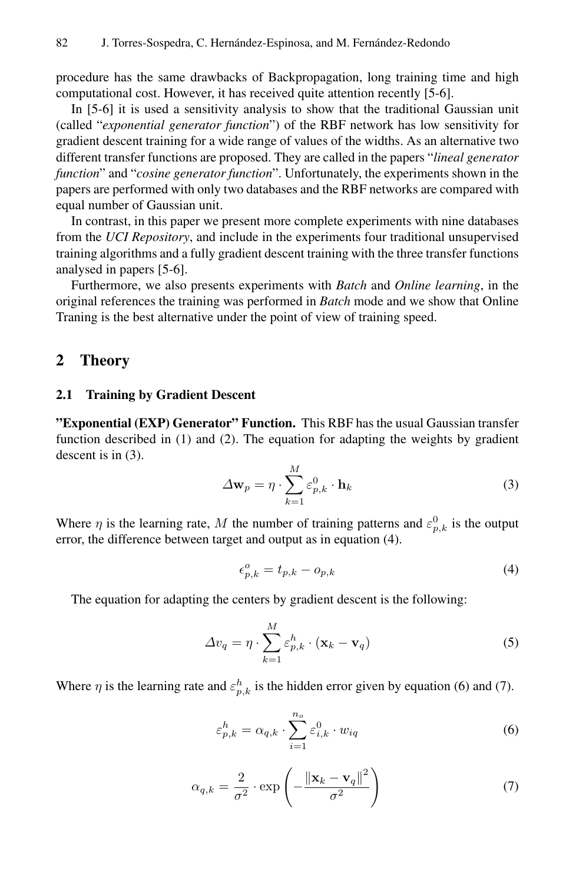procedure has the same drawbacks of Backpropagation, long training time and high computational cost. However, it has received quite attention recently [5-6].

In [5-6] it is used a sensitivity analysis to show that the traditional Gaussian unit (called "*exponential generator function*") of the RBF network has low sensitivity for gradient descent training for a wide range of values of the widths. As an alternative two different transfer functions are proposed. They are called in the papers "*lineal generator function*" and "*cosine generator function*". Unfortunately, the experiments shown in the papers are performed with only two databases and the RBF networks are compared with equal number of Gaussian unit.

In contrast, in this paper we present more complete experiments with nine databases from the *UCI Repository*, and include in the experiments four traditional unsupervised training algorithms and a fully gradient descent training with the three transfer functions analysed in papers [5-6].

Furthermore, we also presents experiments with *Batch* and *Online learning*, in the original references the training was performed in *Batch* mode and we show that Online Traning is the best alternative under the point of view of training speed.

# **2 Theory**

### **2.1 Training by Gradient Descent**

**"Exponential (EXP) Generator" Function.** This RBF has the usual Gaussian transfer function described in (1) and (2). The equation for adapting the weights by gradient descent is in (3).

$$
\Delta \mathbf{w}_p = \eta \cdot \sum_{k=1}^{M} \varepsilon_{p,k}^0 \cdot \mathbf{h}_k \tag{3}
$$

Where  $\eta$  is the learning rate, M the number of training patterns and  $\varepsilon_{p,k}^0$  is the output error, the difference between target and output as in equation (4).

$$
\epsilon_{p,k}^o = t_{p,k} - o_{p,k} \tag{4}
$$

The equation for adapting the centers by gradient descent is the following:

$$
\Delta v_q = \eta \cdot \sum_{k=1}^{M} \varepsilon_{p,k}^h \cdot (\mathbf{x}_k - \mathbf{v}_q)
$$
 (5)

Where  $\eta$  is the learning rate and  $\varepsilon_{p,k}^h$  is the hidden error given by equation (6) and (7).

$$
\varepsilon_{p,k}^h = \alpha_{q,k} \cdot \sum_{i=1}^{n_o} \varepsilon_{i,k}^0 \cdot w_{iq}
$$
 (6)

$$
\alpha_{q,k} = \frac{2}{\sigma^2} \cdot \exp\left(-\frac{\|\mathbf{x}_k - \mathbf{v}_q\|^2}{\sigma^2}\right) \tag{7}
$$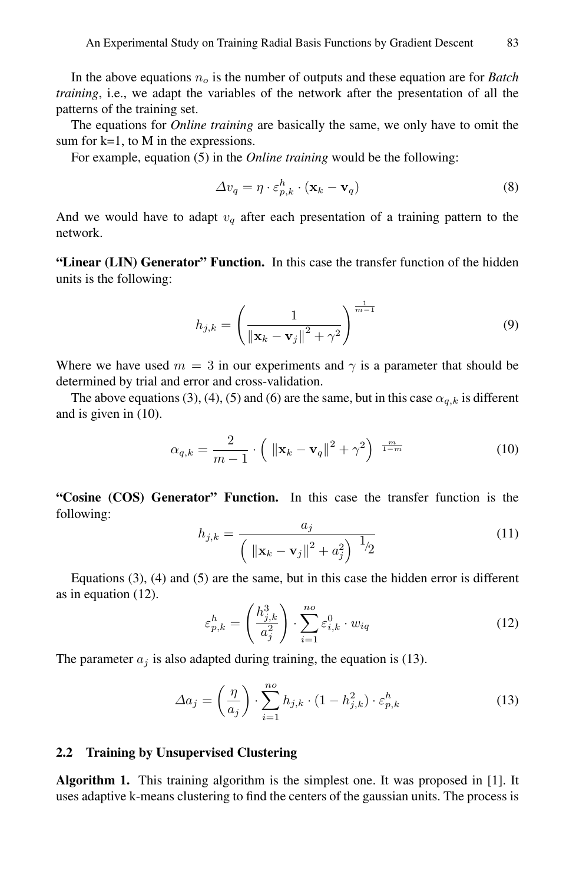In the above equations n*<sup>o</sup>* is the number of outputs and these equation are for *Batch training*, i.e., we adapt the variables of the network after the presentation of all the patterns of the training set.

The equations for *Online training* are basically the same, we only have to omit the sum for k=1, to M in the expressions.

For example, equation (5) in the *Online training* would be the following:

$$
\Delta v_q = \eta \cdot \varepsilon_{p,k}^h \cdot (\mathbf{x}_k - \mathbf{v}_q) \tag{8}
$$

And we would have to adapt  $v_q$  after each presentation of a training pattern to the network.

"Linear (LIN) Generator" Function. In this case the transfer function of the hidden units is the following:

$$
h_{j,k} = \left(\frac{1}{\|\mathbf{x}_k - \mathbf{v}_j\|^2 + \gamma^2}\right)^{\frac{1}{m-1}}
$$
(9)

Where we have used  $m = 3$  in our experiments and  $\gamma$  is a parameter that should be determined by trial and error and cross-validation.

The above equations (3), (4), (5) and (6) are the same, but in this case  $\alpha_{q,k}$  is different and is given in (10).

$$
\alpha_{q,k} = \frac{2}{m-1} \cdot \left( \left. \left\| \mathbf{x}_k - \mathbf{v}_q \right\|^2 + \gamma^2 \right) \right. \xrightarrow{\frac{m}{1-m}} \tag{10}
$$

**"Cosine (COS) Generator" Function.** In this case the transfer function is the following:

$$
h_{j,k} = \frac{a_j}{\left( \left\| \mathbf{x}_k - \mathbf{v}_j \right\|^2 + a_j^2 \right)^{1/2}} \tag{11}
$$

Equations (3), (4) and (5) are the same, but in this case the hidden error is different as in equation (12).

$$
\varepsilon_{p,k}^h = \left(\frac{h_{j,k}^3}{a_j^2}\right) \cdot \sum_{i=1}^{no} \varepsilon_{i,k}^0 \cdot w_{iq}
$$
 (12)

The parameter  $a_j$  is also adapted during training, the equation is (13).

$$
\Delta a_j = \left(\frac{\eta}{a_j}\right) \cdot \sum_{i=1}^{n_o} h_{j,k} \cdot (1 - h_{j,k}^2) \cdot \varepsilon_{p,k}^h \tag{13}
$$

#### **2.2 Training by Unsupervised Clustering**

**Algorithm 1.** This training algorithm is the simplest one. It was proposed in [1]. It uses adaptive k-means clustering to find the centers of the gaussian units. The process is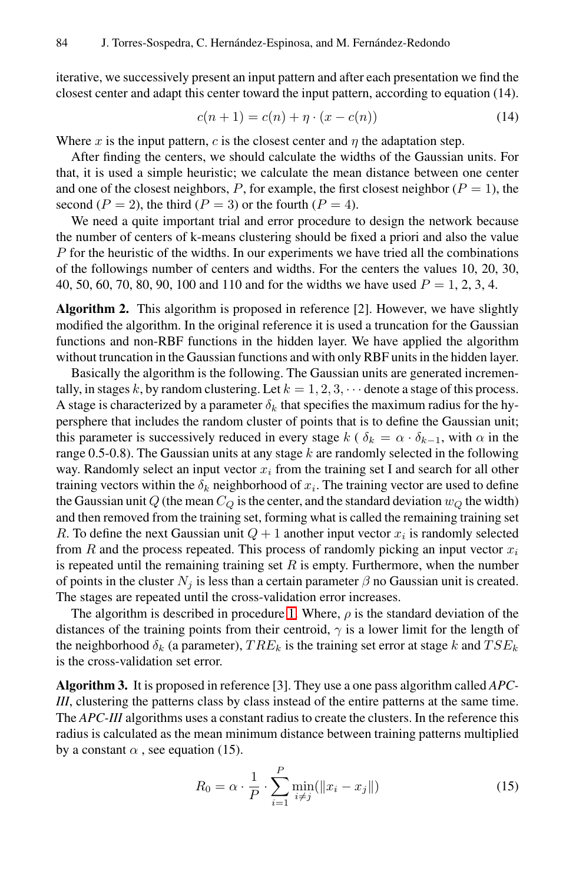iterative, we successively present an input pattern and after each presentation we find the closest center and adapt this center toward the input pattern, according to equation (14).

$$
c(n+1) = c(n) + \eta \cdot (x - c(n))
$$
 (14)

Where x is the input pattern, c is the closest center and  $\eta$  the adaptation step.

After finding the centers, we should calculate the widths of the Gaussian units. For that, it is used a simple heuristic; we calculate the mean distance between one center and one of the closest neighbors, P, for example, the first closest neighbor ( $P = 1$ ), the second ( $P = 2$ ), the third ( $P = 3$ ) or the fourth ( $P = 4$ ).

We need a quite important trial and error procedure to design the network because the number of centers of k-means clustering should be fixed a priori and also the value  $P$  for the heuristic of the widths. In our experiments we have tried all the combinations of the followings number of centers and widths. For the centers the values 10, 20, 30, 40, 50, 60, 70, 80, 90, 100 and 110 and for the widths we have used  $P = 1, 2, 3, 4$ .

**Algorithm 2.** This algorithm is proposed in reference [2]. However, we have slightly modified the algorithm. In the original reference it is used a truncation for the Gaussian functions and non-RBF functions in the hidden layer. We have applied the algorithm without truncation in the Gaussian functions and with only RBF units in the hidden layer.

Basically the algorithm is the following. The Gaussian units are generated incrementally, in stages k, by random clustering. Let  $k = 1, 2, 3, \cdots$  denote a stage of this process. A stage is characterized by a parameter  $\delta_k$  that specifies the maximum radius for the hypersphere that includes the random cluster of points that is to define the Gaussian unit; this parameter is successively reduced in every stage k ( $\delta_k = \alpha \cdot \delta_{k-1}$ , with  $\alpha$  in the range 0.5-0.8). The Gaussian units at any stage  $k$  are randomly selected in the following way. Randomly select an input vector  $x_i$  from the training set I and search for all other training vectors within [th](#page-4-0)e  $\delta_k$  neighborhood of  $x_i$ . The training vector are used to define the Gaussian unit  $Q$  (the mean  $C_Q$  is the center, and the standard deviation  $w_Q$  the width) and then removed from the training set, forming what is called the remaining training set R. To define the next Gaussian unit  $Q + 1$  another input vector  $x_i$  is randomly selected from  $R$  and the process repeated. This process of randomly picking an input vector  $x_i$ is repeated until the remaining training set  $R$  is empty. Furthermore, when the number of points in the cluster  $N_j$  is less than a certain parameter  $\beta$  no Gaussian unit is created. The stages are repeated until the cross-validation error increases.

The algorithm is described in procedure 1. Where,  $\rho$  is the standard deviation of the distances of the training points from their centroid,  $\gamma$  is a lower limit for the length of the neighborhood  $\delta_k$  (a parameter),  $TRE_k$  is the training set error at stage k and  $TSE_k$ is the cross-validation set error.

**Algorithm 3.** It is proposed in reference [3]. They use a one pass algorithm called *APC-III*, clustering the patterns class by class instead of the entire patterns at the same time. The *APC-III* algorithms uses a constant radius to create the clusters. In the reference this radius is calculated as the mean minimum distance between training patterns multiplied by a constant  $\alpha$ , see equation (15).

$$
R_0 = \alpha \cdot \frac{1}{P} \cdot \sum_{i=1}^{P} \min_{i \neq j} (\|x_i - x_j\|)
$$
 (15)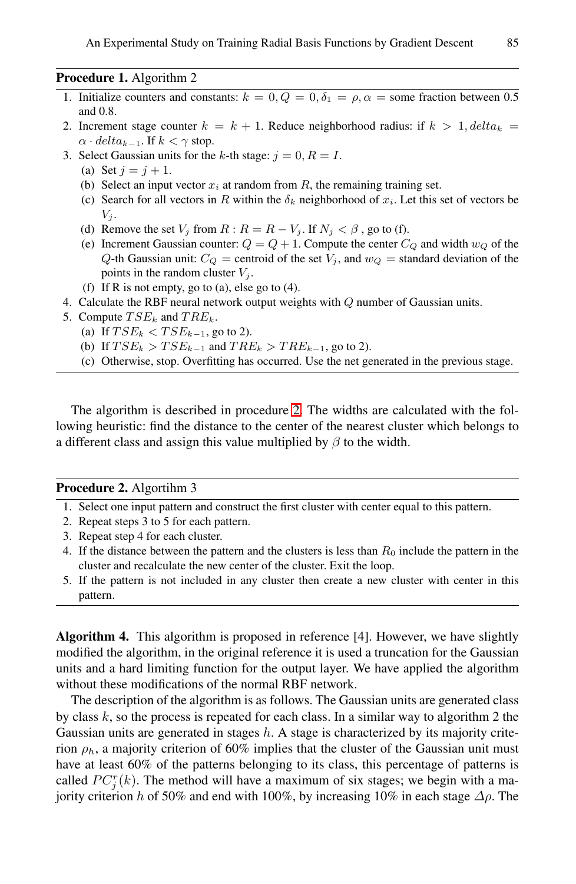### <span id="page-4-0"></span>**Procedure 1.** Algorithm 2

- 1. Initialize counters and constants:  $k = 0, Q = 0, \delta_1 = \rho, \alpha =$  some fraction between 0.5 and 0.8.
- 2. Increment stage counter  $k = k + 1$ . Reduce neighborhood radius: if  $k > 1$ ,  $delta_k =$  $\alpha \cdot delta_{k-1}$ . If  $k < \gamma$  stop.
- 3. Select Gaussian units for the k-th stage:  $j = 0, R = I$ .
	- (a) Set  $j = j + 1$ .
	- (b) Select an input vector  $x_i$  at random from  $R$ , the remaining training set.
	- (c) Search for all vectors in R within the  $\delta_k$  neighborhood of  $x_i$ . Let this set of vectors be  $V_i$ .
	- (d) Remove the set  $V_j$  from  $R: R = R V_j$ . If  $N_j < \beta$ , go to (f).
	- (e) Increment Gaussian counter:  $Q = Q + 1$ . Compute the center  $C_Q$  and width  $w_Q$  of the Q-th Gaussian unit:  $C_Q$  = centroid of the set  $V_j$ , and  $w_Q$  = standard deviation of the points in the random cluster  $V_i$ .
	- (f) If R is not empt[y, g](#page-4-1)o to (a), else go to (4).
- 4. Calculate the RBF neural network output weights with Q number of Gaussian units.
- 5. Compute  $TSE_k$  and  $TRE_k$ .
	- (a) If  $TSE_k < TSE_{k-1}$ , go to 2).
	- (b) If  $TSE_k > TSE_{k-1}$  and  $TRE_k > TRE_{k-1}$ , go to 2).
	- (c) Otherwise, stop. Overfitting has occurred. Use the net generated in the previous stage.

<span id="page-4-1"></span>The algorithm is described in procedure 2. The widths are calculated with the following heuristic: find the distance to the center of the nearest cluster which belongs to a different class and assign this value multiplied by  $\beta$  to the width.

### **Procedure 2.** Algortihm 3

- 1. Select one input pattern and construct the first cluster with center equal to this pattern.
- 2. Repeat steps 3 to 5 for each pattern.
- 3. Repeat step 4 for each cluster.
- 4. If the distance between the pattern and the clusters is less than  $R_0$  include the pattern in the cluster and recalculate the new center of the cluster. Exit the loop.
- 5. If the pattern is not included in any cluster then create a new cluster with center in this pattern.

**Algorithm 4.** This algorithm is proposed in reference [4]. However, we have slightly modified the algorithm, in the original reference it is used a truncation for the Gaussian units and a hard limiting function for the output layer. We have applied the algorithm without these modifications of the normal RBF network.

The description of the algorithm is as follows. The Gaussian units are generated class by class  $k$ , so the process is repeated for each class. In a similar way to algorithm 2 the Gaussian units are generated in stages  $h$ . A stage is characterized by its majority criterion  $\rho_h$ , a majority criterion of 60% implies that the cluster of the Gaussian unit must have at least 60% of the patterns belonging to its class, this percentage of patterns is called  $PC_j^r(k)$ . The method will have a maximum of six stages; we begin with a majority criterion h of 50% and end with 100%, by increasing 10% in each stage  $\Delta \rho$ . The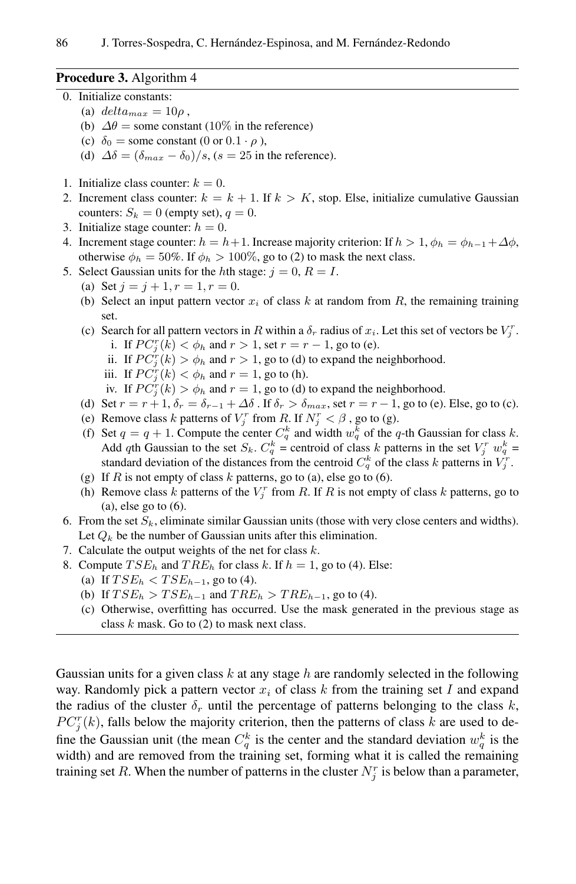#### **Procedure 3.** Algorithm 4

- 0. Initialize constants:
	- (a)  $delta_{max} = 10\rho$ ,
	- (b)  $\Delta\theta$  = some constant (10% in the reference)
	- (c)  $\delta_0$  = some constant (0 or 0.1 ·  $\rho$ ),
	- (d)  $\Delta \delta = (\delta_{max} \delta_0)/s$ ,  $(s = 25$  in the reference).
- 1. Initialize class counter:  $k = 0$ .
- 2. Increment class counter:  $k = k + 1$ . If  $k > K$ , stop. Else, initialize cumulative Gaussian counters:  $S_k = 0$  (empty set),  $q = 0$ .
- 3. Initialize stage counter:  $h = 0$ .
- 4. Increment stage counter:  $h = h+1$ . Increase majority criterion: If  $h > 1$ ,  $\phi_h = \phi_{h-1} + \Delta \phi$ , otherwise  $\phi_h = 50\%$ . If  $\phi_h > 100\%$ , go to (2) to mask the next class.
- 5. Select Gaussian units for the hth stage:  $j = 0$ ,  $R = I$ .
	- (a) Set  $j = j + 1, r = 1, r = 0$ .
	- (b) Select an input pattern vector  $x_i$  of class k at random from  $R$ , the remaining training set.
	- (c) Search for all pattern vectors in R within a  $\delta_r$  radius of  $x_i$ . Let this set of vectors be  $V_j^r$ . i. If  $PC_j^r(k) < \phi_h$  and  $r > 1$ , set  $r = r - 1$ , go to (e).
		- ii. If  $PC_j^r(k) > \phi_h$  and  $r > 1$ , go to (d) to expand the neighborhood.
		- iii. If  $PC_j^r(k) < \phi_h$  and  $r = 1$ , go to (h).
		- iv. If  $PC_j^r(k) > \phi_h$  and  $r = 1$ , go to (d) to expand the neighborhood.
	- (d) Set  $r = r + 1$ ,  $\delta_r = \delta_{r-1} + \Delta\delta$ . If  $\delta_r > \delta_{max}$ , set  $r = r 1$ , go to (e). Else, go to (c).
	- (e) Remove class k patterns of  $V_j^r$  from R. If  $N_j^r < \beta$ , go to (g).
	- (f) Set  $q = q + 1$ . Compute the center  $C_q^k$  and width  $w_q^k$  of the q-th Gaussian for class k. Add qth Gaussian to the set  $S_k$ .  $C_q^k$  = centroid of class k patterns in the set  $V_j^r w_q^k$  = standard deviation of the distances from the centroid  $C_q^k$  of the class k patterns in  $V_j^r$ .
	- (g) If  $R$  is not empty of class  $k$  patterns, go to (a), else go to (6).
	- (h) Remove class k patterns of the  $V_j^r$  from R. If R is not empty of class k patterns, go to (a), else go to (6).
- 6. From the set  $S_k$ , eliminate similar Gaussian units (those with very close centers and widths). Let  $Q_k$  be the number of Gaussian units after this elimination.
- 7. Calculate the output weights of the net for class  $k$ .
- 8. Compute  $TSE_h$  and  $TRE_h$  for class k. If  $h = 1$ , go to (4). Else:
	- (a) If  $TSE_h < TSE_{h-1}$ , go to (4).
	- (b) If  $TSE_h > TSE_{h-1}$  and  $TRE_h > TRE_{h-1}$ , go to (4).
	- (c) Otherwise, overfitting has occurred. Use the mask generated in the previous stage as class  $k$  mask. Go to  $(2)$  to mask next class.

Gaussian units for a given class  $k$  at any stage  $h$  are randomly selected in the following way. Randomly pick a pattern vector  $x_i$  of class  $k$  from the training set  $I$  and expand the radius of the cluster  $\delta_r$  until the percentage of patterns belonging to the class k,  $PC_j^r(k)$ , falls below the majority criterion, then the patterns of class k are used to define the Gaussian unit (the mean  $C_q^k$  is the center and the standard deviation  $w_q^k$  is the width) and are removed from the training set, forming what it is called the remaining training set R. When the number of patterns in the cluster  $N_j^r$  is below than a parameter,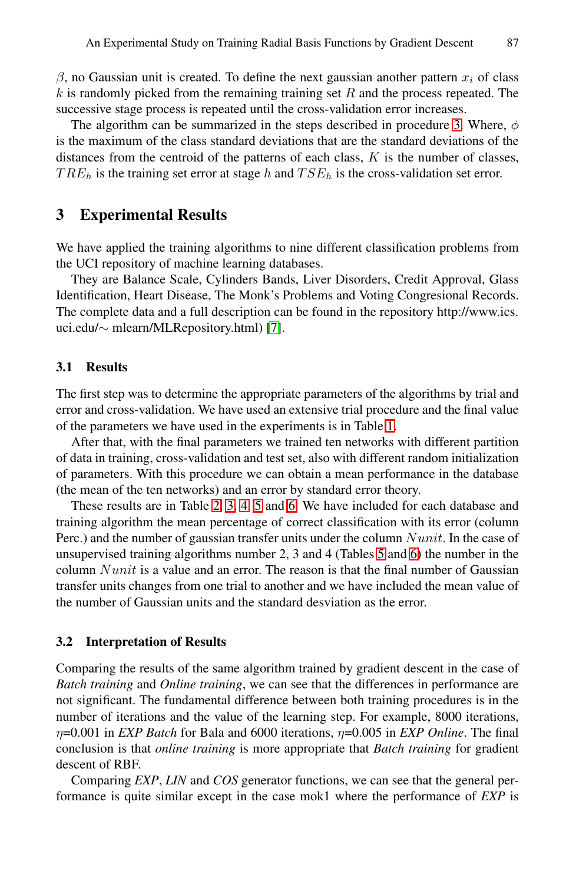$β$ , no Gaussian unit is created. To define the next gaussian another pattern  $x_i$  of class  $k$  is randomly picked from the remaining training set  $R$  and the process repeated. The successive stage process is repeated until the cross-validation error increases.

The algorithm can be summarized in the steps described in procedure 3. Where,  $\phi$ is the maximum of the class standard deviations that are the standard deviations of the distances from the centroid of the patterns of each class,  $K$  is the number of classes,  $TRE_h$  is the training set error at stage h and  $TSE_h$  is the cross-validation set error.

# **3 Experimen[ta](#page-11-0)l Results**

We have applied the training algorithms to nine different classification problems from the UCI repository of machine learning databases.

They are Balance Scale, Cylinders Bands, Liver Disorders, Credit Approval, Glass Identification, Heart Disease, The Monk'[s P](#page-7-0)roblems and Voting Congresional Records. The complete data and a full description can be found in the repository http://www.ics. uci.edu/∼ mlearn/MLRepository.html) [7].

### **3.1 Results**

The first [st](#page-8-0)[ep](#page-8-1) [wa](#page-8-2)[s](#page-9-0) [t](#page-9-0)o d[ete](#page-9-1)rmine the appropriate parameters of the algorithms by trial and error and cross-validation. We have used an extensive trial procedure and the final value of the parameters we have used in the [exp](#page-9-0)eri[me](#page-9-1)nts is in Table 1.

After that, with the final parameters we trained ten networks with different partition of data in training, cross-validation and test set, also with different random initialization of parameters. With this procedure we can obtain a mean performance in the database (the mean of the ten networks) and an error by standard error theory.

These results are in Table 2, 3, 4, 5 and 6. We have included for each database and training algorithm the mean percentage of correct classification with its error (column Perc.) and the number of gaussian transfer units under the column  $Nunit$ . In the case of unsupervised training algorithms number 2, 3 and 4 (Tables 5 and 6) the number in the column  $Nunit$  is a value and an error. The reason is that the final number of Gaussian transfer units changes from one trial to another and we have included the mean value of the number of Gaussian units and the standard desviation as the error.

#### **3.2 Interpretation of Results**

Comparing the results of the same algorithm trained by gradient descent in the case of *Batch training* and *Online training*, we can see that the differences in performance are not significant. The fundamental difference between both training procedures is in the number of iterations and the value of the learning step. For example, 8000 iterations, η=0.001 in *EXP Batch* for Bala and 6000 iterations, η=0.005 in *EXP Online*. The final conclusion is that *online training* is more appropriate that *Batch training* for gradient descent of RBF.

Comparing *EXP*, *LIN* and *COS* generator functions, we can see that the general performance is quite similar except in the case mok1 where the performance of *EXP* is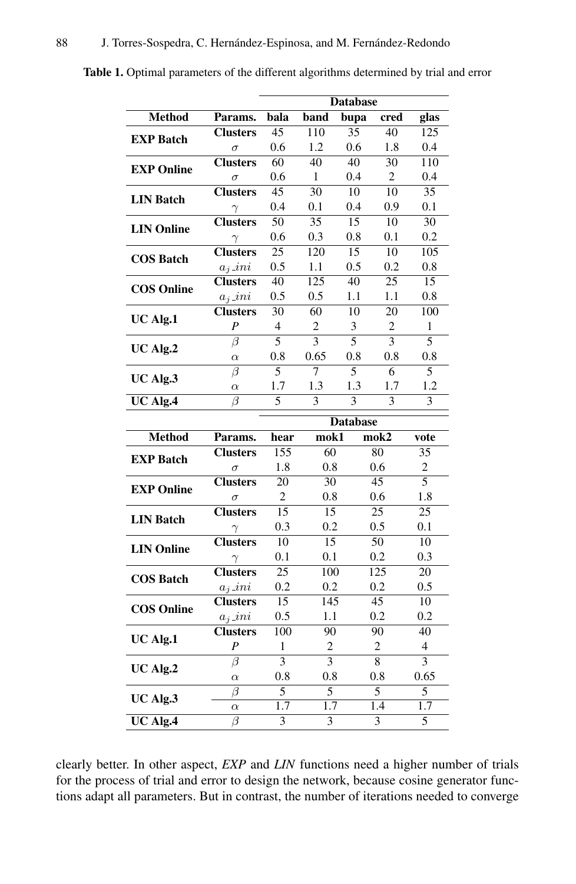|                      |                     | <b>Database</b>                |                                |                 |                                |                          |
|----------------------|---------------------|--------------------------------|--------------------------------|-----------------|--------------------------------|--------------------------|
| <b>Method</b>        | Params.             | bala                           | band                           | bupa            | cred                           | glas                     |
| <b>EXP Batch</b>     | <b>Clusters</b>     | $\overline{45}$                | 110                            | $\overline{35}$ | $\overline{40}$                | 125                      |
|                      | $\sigma$            | 0.6                            | 1.2                            | 0.6             | 1.8                            | 0.4                      |
| <b>EXP Online</b>    | <b>Clusters</b>     | 60                             | 40                             | $\overline{40}$ | $\overline{30}$                | 110                      |
|                      | $\sigma$            | 0.6                            | 1                              | 0.4             | 2                              | 0.4                      |
| <b>LIN Batch</b>     | <b>Clusters</b>     | $\overline{45}$                | $\overline{30}$                | 10              | 10                             | $\overline{35}$          |
|                      | $\gamma$            | 0.4                            | 0.1                            | 0.4             | 0.9                            | 0.1                      |
| <b>LIN</b> Online    | Clusters            | 50                             | 35                             | 15              | 10                             | 30                       |
|                      | $\gamma$            | 0.6                            | 0.3                            | 0.8             | 0.1                            | 0.2                      |
| <b>COS Batch</b>     | <b>Clusters</b>     | $\overline{25}$                | 120                            | $\overline{15}$ | 10                             | 105                      |
|                      | $a_j$ ini           | 0.5                            | 1.1                            | $0.5\,$         | 0.2                            | 0.8                      |
| <b>COS Online</b>    | <b>Clusters</b>     | 40                             | $\overline{125}$               | 40              | 25                             | $\overline{15}$          |
|                      | $a_i$ ini           | 0.5                            | 0.5                            | 1.1             | 1.1                            | 0.8                      |
| UC Alg.1             | <b>Clusters</b>     | $\overline{30}$                | $\overline{60}$                | 10              | $\overline{20}$                | 100                      |
|                      | $\boldsymbol{P}$    | 4                              | $\overline{\mathbf{c}}$        | 3               | $\overline{c}$                 | 1                        |
| UC Alg.2             | $\overline{\beta}$  | $\overline{5}$                 | $\overline{3}$                 | $\overline{5}$  | $\overline{3}$                 | $\overline{5}$           |
|                      | $\alpha$            | 0.8                            | 0.65                           | 0.8             | 0.8                            | 0.8                      |
| UC Alg.3             | β                   | 5                              | 7                              | 5               | 6                              | $\overline{5}$           |
|                      | $\alpha$            | 1.7                            | 1.3                            | 1.3             | 1.7                            | 1.2                      |
| $UC$ Alg.4           | $\overline{\beta}$  | 5                              | 3                              | 3               | 3                              | $\overline{3}$           |
|                      | <b>Database</b>     |                                |                                |                 |                                |                          |
|                      |                     |                                |                                |                 |                                |                          |
| <b>Method</b>        | Params.             | hear                           | mok1                           |                 | mok2                           | vote                     |
|                      | <b>Clusters</b>     | 155                            | 60                             |                 | 80                             | 35                       |
| <b>EXP Batch</b>     | $\sigma$            | 1.8                            | 0.8                            |                 | 0.6                            | 2                        |
|                      | <b>Clusters</b>     | $\overline{20}$                | $\overline{30}$                |                 | 45                             | $\overline{5}$           |
| <b>EXP Online</b>    | $\sigma$            | $\overline{2}$                 | 0.8                            |                 | 0.6                            | 1.8                      |
|                      | <b>Clusters</b>     | $\overline{15}$                | $\overline{15}$                |                 | $\overline{25}$                | $\overline{25}$          |
| <b>LIN Batch</b>     | $\gamma$            | 0.3                            | 0.2                            |                 | 0.5                            | 0.1                      |
|                      | <b>Clusters</b>     | $\overline{10}$                | $\overline{15}$                |                 | $\overline{50}$                | $\overline{10}$          |
| <b>LIN</b> Online    | $\gamma$            | 0.1                            | 0.1                            |                 | 0.2                            | 0.3                      |
|                      | <b>Clusters</b>     | $\overline{25}$                | 100                            |                 | 125                            | 20                       |
| <b>COS Batch</b>     | $a_j$ ini           | 0.2                            | 0.2                            |                 | 0.2                            | 0.5                      |
|                      | <b>Clusters</b>     | $\overline{15}$                | 145                            |                 | 45                             | 10                       |
| <b>COS Online</b>    | $a_i$ ini           | 0.5                            | 1.1                            |                 | 0.2                            | 0.2                      |
|                      | <b>Clusters</b>     | 100                            | 90                             |                 | 90                             | 40                       |
| UC Alg.1             | P                   | 1                              | $\overline{\mathbf{c}}$        |                 | 2                              | $\overline{\mathcal{L}}$ |
|                      | $\overline{\beta}$  | $\overline{3}$                 | $\overline{3}$                 |                 | $\overline{8}$                 | $\overline{3}$           |
| UC Alg.2             | $\alpha$            | 0.8                            | 0.8                            |                 | 0.8                            | 0.65                     |
|                      | β                   | 5                              | 5                              |                 | 5                              | 5                        |
| UC Alg.3<br>UC Alg.4 | $\alpha$<br>$\beta$ | 1.7<br>$\overline{\mathbf{3}}$ | 1.7<br>$\overline{\mathbf{3}}$ |                 | 1.4<br>$\overline{\mathbf{3}}$ | $\overline{1.7}$<br>5    |

<span id="page-7-0"></span>**Table 1.** Optimal parameters of the different algorithms determined by trial and error

clearly better. In other aspect, *EXP* and *LIN* functions need a higher number of trials for the process of trial and error to design the network, because cosine generator functions adapt all parameters. But in contrast, the number of iterations needed to converge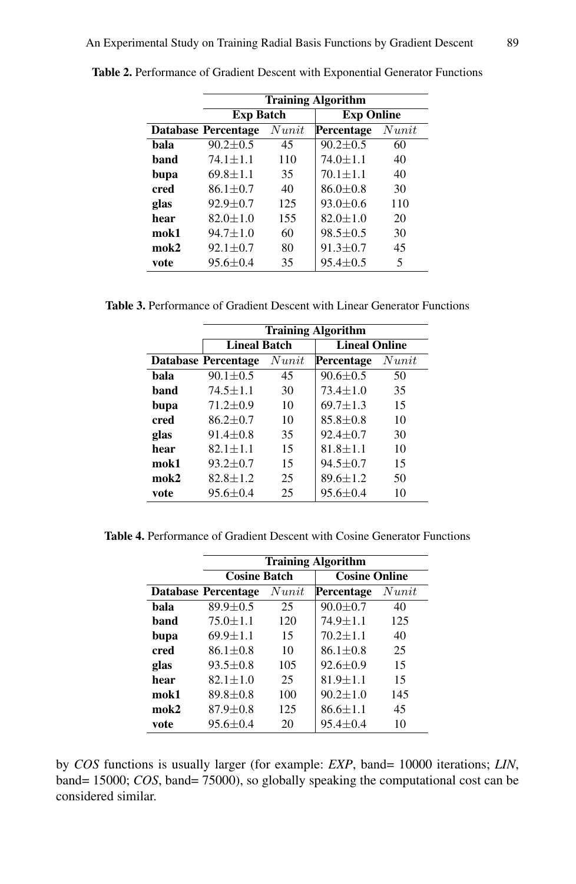|            | <b>Training Algorithm</b> |       |                   |       |
|------------|---------------------------|-------|-------------------|-------|
|            | <b>Exp Batch</b>          |       | <b>Exp Online</b> |       |
|            | Database Percentage       | Nunit | Percentage        | Nunit |
| bala       | $90.2 + 0.5$              | 45    | $90.2 + 0.5$      | 60    |
| band       | $74.1 + 1.1$              | 110   | $74.0 + 1.1$      | 40    |
| bupa       | $69.8 + 1.1$              | 35    | $70.1 + 1.1$      | 40    |
| cred       | $86.1 + 0.7$              | 40    | $86.0 + 0.8$      | 30    |
| glas       | $92.9 + 0.7$              | 125   | $93.0 + 0.6$      | 110   |
| hear       | $82.0 + 1.0$              | 155   | $82.0 + 1.0$      | 20    |
| mok1       | $94.7 + 1.0$              | 60    | $98.5 \pm 0.5$    | 30    |
| $m$ ok $2$ | $92.1 + 0.7$              | 80    | $91.3 \pm 0.7$    | 45    |
| vote       | $95.6 + 0.4$              | 35    | $95.4 + 0.5$      | 5     |

<span id="page-8-0"></span>**Table 2.** Performance of Gradient Descent with Exponential Generator Functions

<span id="page-8-1"></span>**Table 3.** Performance of Gradient Descent with Linear Generator Functions

|                  | <b>Training Algorithm</b>  |                     |                |                      |  |
|------------------|----------------------------|---------------------|----------------|----------------------|--|
|                  |                            | <b>Lineal Batch</b> |                | <b>Lineal Online</b> |  |
|                  | <b>Database Percentage</b> | Nunit               | Percentage     | Nunit                |  |
| bala             | $90.1 \pm 0.5$             | 45                  | $90.6 \pm 0.5$ | 50                   |  |
| hand             | $74.5 + 1.1$               | 30                  | $73.4 \pm 1.0$ | 35                   |  |
| bupa             | $71.2 \pm 0.9$             | 10                  | $69.7 \pm 1.3$ | 15                   |  |
| cred             | $86.2 \pm 0.7$             | 10                  | $85.8 \pm 0.8$ | 10                   |  |
| glas             | $91.4 \pm 0.8$             | 35                  | $92.4 \pm 0.7$ | 30                   |  |
| hear             | $82.1 + 1.1$               | 15                  | $81.8 + 1.1$   | 10                   |  |
| mok <sub>1</sub> | $93.2 + 0.7$               | 15                  | $94.5 \pm 0.7$ | 15                   |  |
| $m$ ok $2$       | $82.8 + 1.2$               | 25                  | $89.6 \pm 1.2$ | 50                   |  |
| vote             | $95.6 \pm 0.4$             | 25                  | $95.6 \pm 0.4$ | 10                   |  |

<span id="page-8-2"></span>**Table 4.** Performance of Gradient Descent with Cosine Generator Functions

|            | <b>Training Algorithm</b> |       |                      |       |
|------------|---------------------------|-------|----------------------|-------|
|            | <b>Cosine Batch</b>       |       | <b>Cosine Online</b> |       |
|            | Database Percentage       | Nunit | Percentage           | Nunit |
| bala       | $89.9 \pm 0.5$            | 25    | $90.0 + 0.7$         | 40    |
| hand       | $75.0 + 1.1$              | 120   | $74.9 \pm 1.1$       | 125   |
| bupa       | $69.9 + 1.1$              | 15    | $70.2 + 1.1$         | 40    |
| cred       | $86.1 \pm 0.8$            | 10    | $86.1 + 0.8$         | 25    |
| glas       | $93.5 + 0.8$              | 105   | $92.6 + 0.9$         | 15    |
| hear       | $82.1 + 1.0$              | 25    | $81.9 + 1.1$         | 15    |
| mok1       | $89.8 + 0.8$              | 100   | $90.2 + 1.0$         | 145   |
| $m$ ok $2$ | $87.9 + 0.8$              | 125   | $86.6 \pm 1.1$       | 45    |
| vote       | $95.6 + 0.4$              | 20    | $95.4 \pm 0.4$       | 10    |

by *COS* functions is usually larger (for example: *EXP*, band= 10000 iterations; *LIN*, band= 15000; *COS*, band= 75000), so globally speaking the computational cost can be considered similar.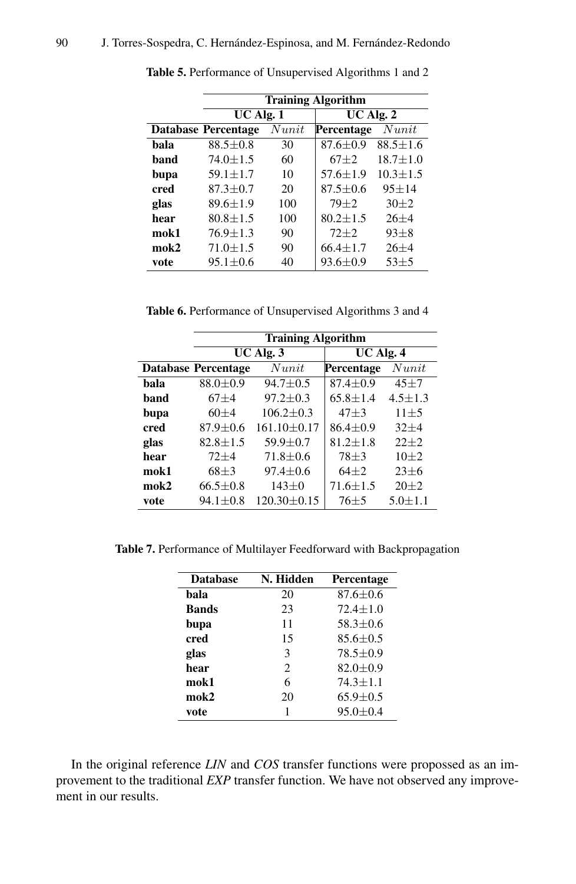|      | <b>Training Algorithm</b>  |       |                   |                |
|------|----------------------------|-------|-------------------|----------------|
|      | $UC$ Alg. 1                |       | $UC$ Alg. 2       |                |
|      | <b>Database Percentage</b> | Nunit | <b>Percentage</b> | Nunit          |
| bala | $88.5 \pm 0.8$             | 30    | $87.6 \pm 0.9$    | $88.5 \pm 1.6$ |
| band | $74.0 + 1.5$               | 60    | $67 + 2$          | $18.7 \pm 1.0$ |
| bupa | $59.1 \pm 1.7$             | 10    | $57.6 \pm 1.9$    | $10.3 \pm 1.5$ |
| cred | $87.3 + 0.7$               | 20    | $87.5 + 0.6$      | $95 + 14$      |
| glas | $89.6 \pm 1.9$             | 100   | $79 + 2$          | $30+2$         |
| hear | $80.8 \pm 1.5$             | 100   | $80.2 \pm 1.5$    | $26+4$         |
| mok1 | $76.9 \pm 1.3$             | 90    | $72 + 2$          | $93 + 8$       |
| mok2 | $71.0 \pm 1.5$             | 90    | $66.4 \pm 1.7$    | $26 + 4$       |
| vote | $95.1 + 0.6$               | 40    | $93.6 \pm 0.9$    | $53 + 5$       |

<span id="page-9-0"></span>**Table 5.** Performance of Unsupervised Algorithms 1 and 2

**Table 6.** Performance of Unsupervised Algorithms 3 and 4

<span id="page-9-1"></span>

|            | <b>Training Algorithm</b> |                   |                        |               |
|------------|---------------------------|-------------------|------------------------|---------------|
|            |                           | $UC$ Alg. $3$     | $\overline{U}C$ Alg. 4 |               |
|            | Database Percentage       | Nunit             | Percentage             | Nunit         |
| hala       | $88.0 + 0.9$              | $94.7 \pm 0.5$    | $87.4 \pm 0.9$         | $45 + 7$      |
| hand       | $67 + 4$                  | $97.2 + 0.3$      | $65.8 + 1.4$           | $4.5 \pm 1.3$ |
| bupa       | $60+4$                    | $106.2 + 0.3$     | $47 + 3$               | $11 + 5$      |
| cred       | $87.9 + 0.6$              | $161.10 + 0.17$   | $86.4 + 0.9$           | $32+4$        |
| glas       | $82.8 + 1.5$              | $59.9 + 0.7$      | $81.2 + 1.8$           | $22+2$        |
| hear       | $72 + 4$                  | $71.8 + 0.6$      | $78 + 3$               | $10+2$        |
| mok1       | $68 + 3$                  | $97.4 + 0.6$      | $64 + 2$               | $23+6$        |
| $m$ ok $2$ | $66.5 + 0.8$              | $143+0$           | $71.6 + 1.5$           | $20+2$        |
| vote       | $94.1 + 0.8$              | $120.30 \pm 0.15$ | $76 + 5$               | $5.0 \pm 1.1$ |

<span id="page-9-2"></span>**Table 7.** Performance of Multilayer Feedforward with Backpropagation

| <b>Database</b> | N. Hidden      | <b>Percentage</b> |
|-----------------|----------------|-------------------|
| bala            | 20             | $87.6 + 0.6$      |
| <b>Bands</b>    | 23             | $72.4 + 1.0$      |
| bupa            | 11             | $58.3 \pm 0.6$    |
| cred            | 15             | $85.6 \pm 0.5$    |
| glas            | 3              | $78.5 + 0.9$      |
| hear            | $\mathfrak{D}$ | $82.0 \pm 0.9$    |
| mok1            | 6              | $74.3 + 1.1$      |
| mok2            | 20             | $65.9 \pm 0.5$    |
| vote            |                | $95.0 + 0.4$      |

In the original reference *LIN* and *COS* transfer functions were propossed as an improvement to the traditional *EXP* transfer function. We have not observed any improvement in our results.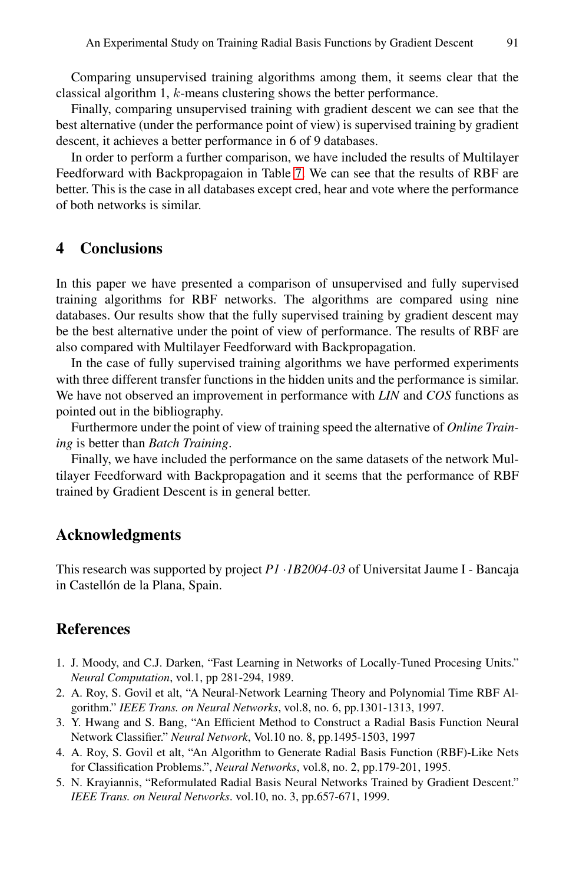Comparing unsupervised training algorithms among them, it seems clear that the classical algorithm 1, k-means clustering shows the better performance.

Finally, comparing unsupervised training with gradient descent we can see that the best alternative (under the performance point of view) is supervised training by gradient descent, it achieves a better performance in 6 of 9 databases.

In order to perform a further comparison, we have included the results of Multilayer Feedforward with Backpropagaion in Table 7. We can see that the results of RBF are better. This is the case in all databases except cred, hear and vote where the performance of both networks is similar.

# **4 Conclusions**

In this paper we have presented a comparison of unsupervised and fully supervised training algorithms for RBF networks. The algorithms are compared using nine databases. Our results show that the fully supervised training by gradient descent may be the best alternative under the point of view of performance. The results of RBF are also compared with Multilayer Feedforward with Backpropagation.

In the case of fully supervised training algorithms we have performed experiments with three different transfer functions in the hidden units and the performance is similar. We have not observed an improvement in performance with *LIN* and *COS* functions as pointed out in the bibliography.

Furthermore under the point of view of training speed the alternative of *Online Training* is better than *Batch Training*.

Finally, we have included the performance on the same datasets of the network Multilayer Feedforward with Backpropagation and it seems that the performance of RBF trained by Gradient Descent is in general better.

### **Acknowledgments**

This research was supported by project *P1* ·*1B2004-03* of Universitat Jaume I - Bancaja in Castellón de la Plana, Spain.

# **References**

- 1. J. Moody, and C.J. Darken, "Fast Learning in Networks of Locally-Tuned Procesing Units." *Neural Computation*, vol.1, pp 281-294, 1989.
- 2. A. Roy, S. Govil et alt, "A Neural-Network Learning Theory and Polynomial Time RBF Algorithm." *IEEE Trans. on Neural Networks*, vol.8, no. 6, pp.1301-1313, 1997.
- 3. Y. Hwang and S. Bang, "An Efficient Method to Construct a Radial Basis Function Neural Network Classifier." *Neural Network*, Vol.10 no. 8, pp.1495-1503, 1997
- 4. A. Roy, S. Govil et alt, "An Algorithm to Generate Radial Basis Function (RBF)-Like Nets for Classification Problems.", *Neural Networks*, vol.8, no. 2, pp.179-201, 1995.
- 5. N. Krayiannis, "Reformulated Radial Basis Neural Networks Trained by Gradient Descent." *IEEE Trans. on Neural Networks*. vol.10, no. 3, pp.657-671, 1999.